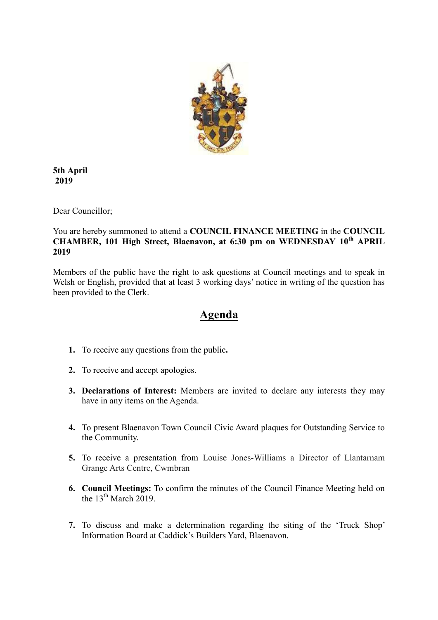

**5th April 2019**

Dear Councillor;

You are hereby summoned to attend a **COUNCIL FINANCE MEETING** in the **COUNCIL CHAMBER, 101 High Street, Blaenavon, at 6:30 pm on WEDNESDAY 10th APRIL 2019**

Members of the public have the right to ask questions at Council meetings and to speak in Welsh or English, provided that at least 3 working days' notice in writing of the question has been provided to the Clerk.

# **Agenda**

- **1.** To receive any questions from the public**.**
- **2.** To receive and accept apologies.
- **3. Declarations of Interest:** Members are invited to declare any interests they may have in any items on the Agenda.
- **4.** To present Blaenavon Town Council Civic Award plaques for Outstanding Service to the Community.
- **5.** To receive a presentation from Louise Jones-Williams a Director of Llantarnam Grange Arts Centre, Cwmbran
- **6. Council Meetings:** To confirm the minutes of the Council Finance Meeting held on the  $13^{th}$  March  $2019$
- **7.** To discuss and make a determination regarding the siting of the 'Truck Shop' Information Board at Caddick's Builders Yard, Blaenavon.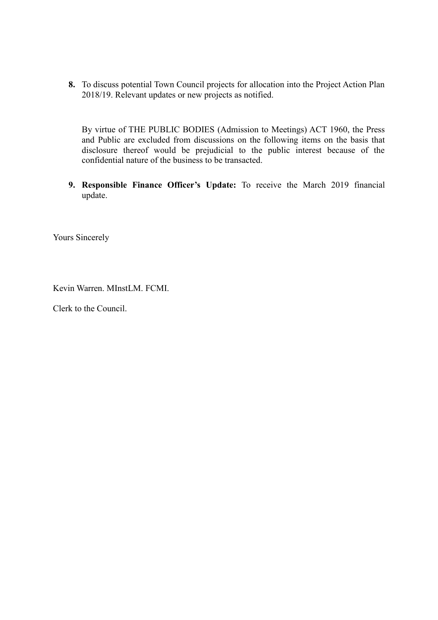**8.** To discuss potential Town Council projects for allocation into the Project Action Plan 2018/19. Relevant updates or new projects as notified.

By virtue of THE PUBLIC BODIES (Admission to Meetings) ACT 1960, the Press and Public are excluded from discussions on the following items on the basis that disclosure thereof would be prejudicial to the public interest because of the confidential nature of the business to be transacted.

**9. Responsible Finance Officer's Update:** To receive the March 2019 financial update.

Yours Sincerely

Kevin Warren. MInstLM. FCMI.

Clerk to the Council.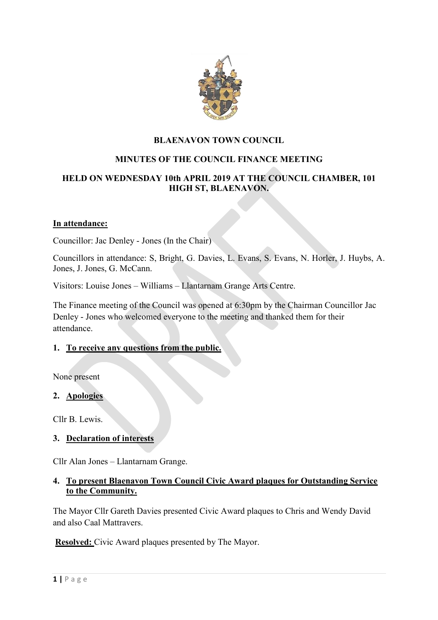

## **BLAENAVON TOWN COUNCIL**

# **MINUTES OF THE COUNCIL FINANCE MEETING**

## **HELD ON WEDNESDAY 10th APRIL 2019 AT THE COUNCIL CHAMBER, 101 HIGH ST, BLAENAVON.**

#### **In attendance:**

Councillor: Jac Denley - Jones (In the Chair)

Councillors in attendance: S, Bright, G. Davies, L. Evans, S. Evans, N. Horler, J. Huybs, A. Jones, J. Jones, G. McCann.

Visitors: Louise Jones – Williams – Llantarnam Grange Arts Centre.

The Finance meeting of the Council was opened at 6:30pm by the Chairman Councillor Jac Denley - Jones who welcomed everyone to the meeting and thanked them for their attendance.

#### **1. To receive any questions from the public.**

None present

### **2. Apologies**

Cllr B. Lewis.

### **3. Declaration of interests**

Cllr Alan Jones – Llantarnam Grange.

### **4. To present Blaenavon Town Council Civic Award plaques for Outstanding Service to the Community.**

The Mayor Cllr Gareth Davies presented Civic Award plaques to Chris and Wendy David and also Caal Mattravers.

**Resolved:** Civic Award plaques presented by The Mayor.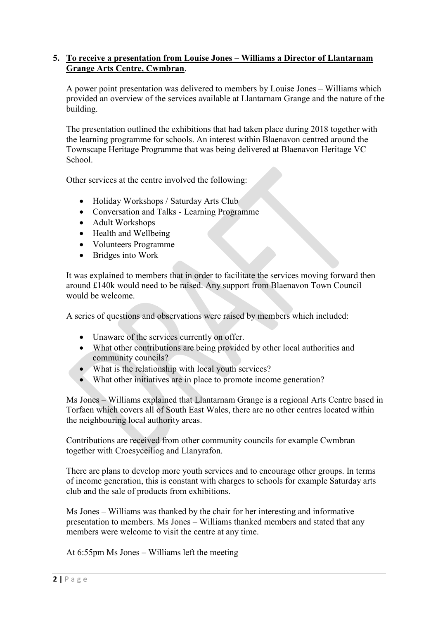### **5. To receive a presentation from Louise Jones – Williams a Director of Llantarnam Grange Arts Centre, Cwmbran**.

A power point presentation was delivered to members by Louise Jones – Williams which provided an overview of the services available at Llantarnam Grange and the nature of the building.

The presentation outlined the exhibitions that had taken place during 2018 together with the learning programme for schools. An interest within Blaenavon centred around the Townscape Heritage Programme that was being delivered at Blaenavon Heritage VC School.

Other services at the centre involved the following:

- Holiday Workshops / Saturday Arts Club
- Conversation and Talks Learning Programme
- Adult Workshops
- Health and Wellbeing
- Volunteers Programme
- Bridges into Work

It was explained to members that in order to facilitate the services moving forward then around £140k would need to be raised. Any support from Blaenavon Town Council would be welcome.

A series of questions and observations were raised by members which included:

- Unaware of the services currently on offer.
- What other contributions are being provided by other local authorities and community councils?
- What is the relationship with local youth services?
- What other initiatives are in place to promote income generation?

Ms Jones – Williams explained that Llantarnam Grange is a regional Arts Centre based in Torfaen which covers all of South East Wales, there are no other centres located within the neighbouring local authority areas.

Contributions are received from other community councils for example Cwmbran together with Croesyceiliog and Llanyrafon.

There are plans to develop more youth services and to encourage other groups. In terms of income generation, this is constant with charges to schools for example Saturday arts club and the sale of products from exhibitions.

Ms Jones – Williams was thanked by the chair for her interesting and informative presentation to members. Ms Jones – Williams thanked members and stated that any members were welcome to visit the centre at any time.

At 6:55pm Ms Jones – Williams left the meeting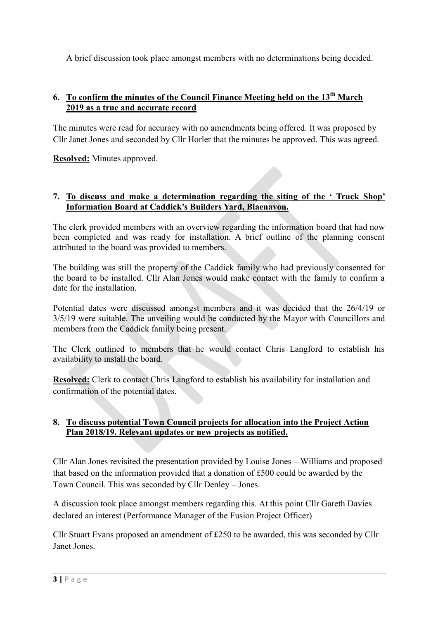A brief discussion took place amongst members with no determinations being decided.

## **6. To confirm the minutes of the Council Finance Meeting held on the 13th March 2019 as a true and accurate record**

The minutes were read for accuracy with no amendments being offered. It was proposed by Cllr Janet Jones and seconded by Cllr Horler that the minutes be approved. This was agreed.

**Resolved:** Minutes approved.

### **7. To discuss and make a determination regarding the siting of the ' Truck Shop' Information Board at Caddick's Builders Yard, Blaenavon.**

The clerk provided members with an overview regarding the information board that had now been completed and was ready for installation. A brief outline of the planning consent attributed to the board was provided to members.

The building was still the property of the Caddick family who had previously consented for the board to be installed. Cllr Alan Jones would make contact with the family to confirm a date for the installation.

Potential dates were discussed amongst members and it was decided that the 26/4/19 or 3/5/19 were suitable. The unveiling would be conducted by the Mayor with Councillors and members from the Caddick family being present.

The Clerk outlined to members that he would contact Chris Langford to establish his availability to install the board.

**Resolved:** Clerk to contact Chris Langford to establish his availability for installation and confirmation of the potential dates.

### **8. To discuss potential Town Council projects for allocation into the Project Action Plan 2018/19. Relevant updates or new projects as notified.**

Cllr Alan Jones revisited the presentation provided by Louise Jones – Williams and proposed that based on the information provided that a donation of £500 could be awarded by the Town Council. This was seconded by Cllr Denley – Jones.

A discussion took place amongst members regarding this. At this point Cllr Gareth Davies declared an interest (Performance Manager of the Fusion Project Officer)

Cllr Stuart Evans proposed an amendment of £250 to be awarded, this was seconded by Cllr Janet Jones.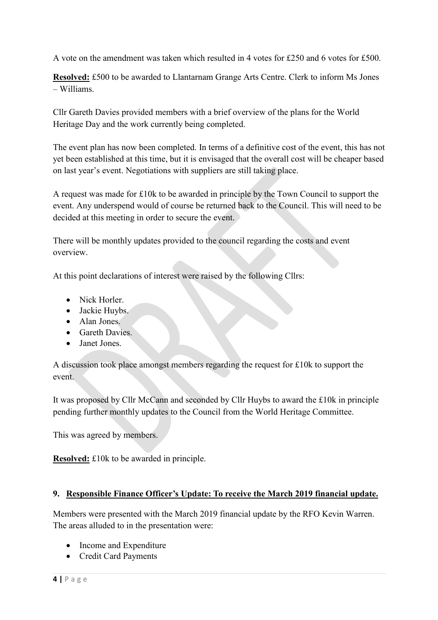A vote on the amendment was taken which resulted in 4 votes for £250 and 6 votes for £500.

**Resolved:** £500 to be awarded to Llantarnam Grange Arts Centre. Clerk to inform Ms Jones – Williams.

Cllr Gareth Davies provided members with a brief overview of the plans for the World Heritage Day and the work currently being completed.

The event plan has now been completed. In terms of a definitive cost of the event, this has not yet been established at this time, but it is envisaged that the overall cost will be cheaper based on last year's event. Negotiations with suppliers are still taking place.

A request was made for £10k to be awarded in principle by the Town Council to support the event. Any underspend would of course be returned back to the Council. This will need to be decided at this meeting in order to secure the event.

There will be monthly updates provided to the council regarding the costs and event overview.

At this point declarations of interest were raised by the following Cllrs:

- Nick Horler
- Jackie Huybs.
- Alan Jones.
- **•** Gareth Davies
- Janet Jones.

A discussion took place amongst members regarding the request for £10k to support the event.

It was proposed by Cllr McCann and seconded by Cllr Huybs to award the £10k in principle pending further monthly updates to the Council from the World Heritage Committee.

This was agreed by members.

**Resolved:** £10k to be awarded in principle.

# **9. Responsible Finance Officer's Update: To receive the March 2019 financial update.**

Members were presented with the March 2019 financial update by the RFO Kevin Warren. The areas alluded to in the presentation were:

- Income and Expenditure
- Credit Card Payments